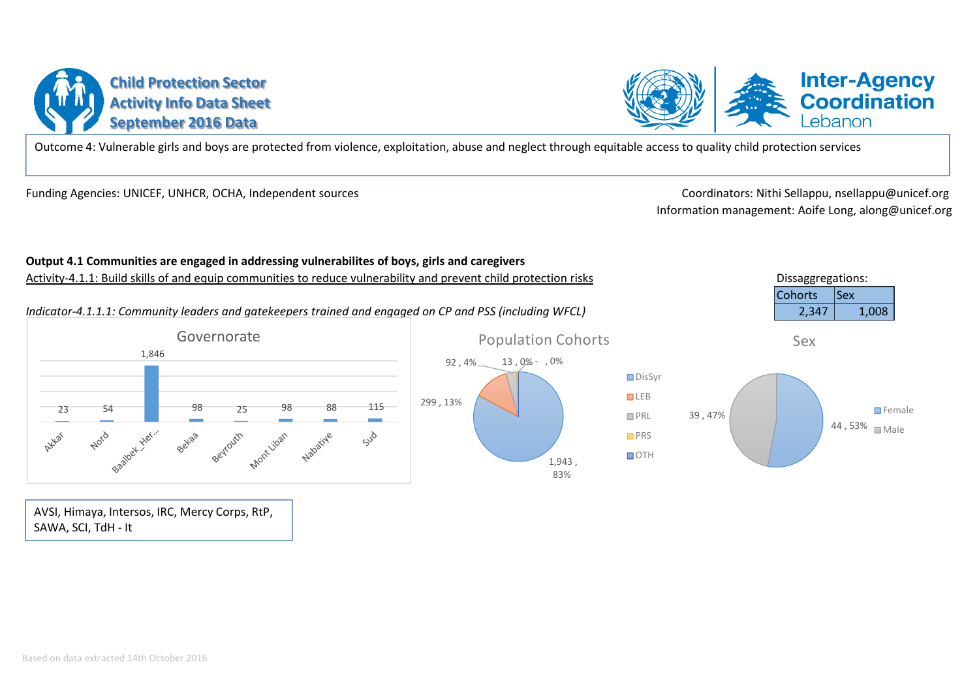# **Child Protection SectorActivity Info Data SheetSeptember 2016 Data**

Outcome 4: Vulnerable girls and boys are protected from violence, exploitation, abuse and neglect through equitable access to quality child protection services

Funding Agencies: UNICEF, UNHCR, OCHA, Independent sources

 Coordinators: Nithi Sellappu, nsellappu@unicef.org Information management: Aoife Long, along@unicef.org

Dissaggregations:

#### Cohorts**Sex** *Indicator-4.1.1.1: Community leaders and gatekeepers trained and engaged on CP and PSS (including WFCL)* $2,347$  | 1,008 2,347GovernoratePopulation CohortsSex1,846 92 , 4% 13 , 0% - , 0% DisSyr **LEB** 299 , 13%23 54 98 25 98 88 115 **O**Female 39 , 47%**PRL** 44 , 53%⊔ <sub>Male</sub> Betaa Beyrouth Mont Liban Nabatiye Sud **O**PRS **OTH** 1,943 ,

83%

AVSI, Himaya, Intersos, IRC, Mercy Corps, RtP, SAWA, SCI, TdH - It

# **Output 4.1 Communities are engaged in addressing vulnerabilites of boys, girls and caregivers**

Activity-4.1.1: Build skills of and equip communities to reduce vulnerability and prevent child protection risks



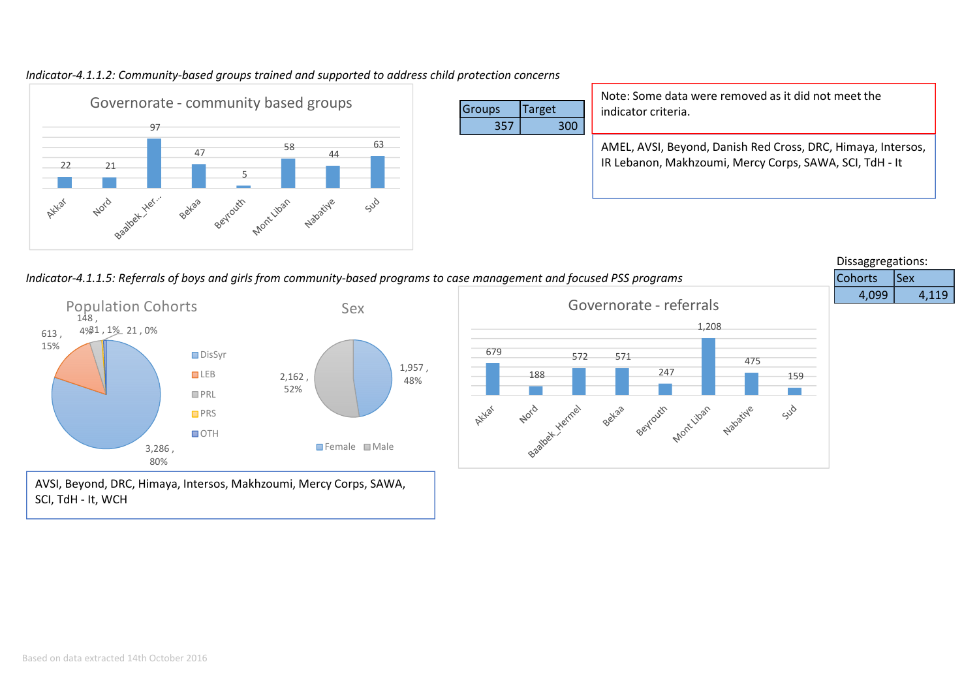



|     |        | Note: Some data were removed as it did not meet the                                                                     |
|-----|--------|-------------------------------------------------------------------------------------------------------------------------|
| S   | Target | indicator criteria.                                                                                                     |
| 357 | 300    |                                                                                                                         |
|     |        | AMEL, AVSI, Beyond, Danish Red Cross, DRC, Himaya, Intersos,<br>IR Lebanon, Makhzoumi, Mercy Corps, SAWA, SCI, TdH - It |

Dissaggregations:*Indicator-4.1.1.5: Referrals of boys and girls from community-based programs to case management and focused PSS programs* Cohorts $|$ Sex 4,099 4,119 Governorate - referrals Population CohortsSex $148.$ 1,208 4%31 , 1% 21 , 0%613 , 15%679 **□** DisSyr 572 571 475 1,957 , 247 **LEB** 188 159  $2,162$  ,  $38$ 48%52%**PRL** Bastlet Hermel Nord Sud Atklar settles sextating prove tipen programs **PRS** OTH **3,286 , The Contract of Security Contract of Tremale** ■ Male 80%AVSI, Beyond, DRC, Himaya, Intersos, Makhzoumi, Mercy Corps, SAWA, SCI, TdH - It, WCH

**Groups** 

357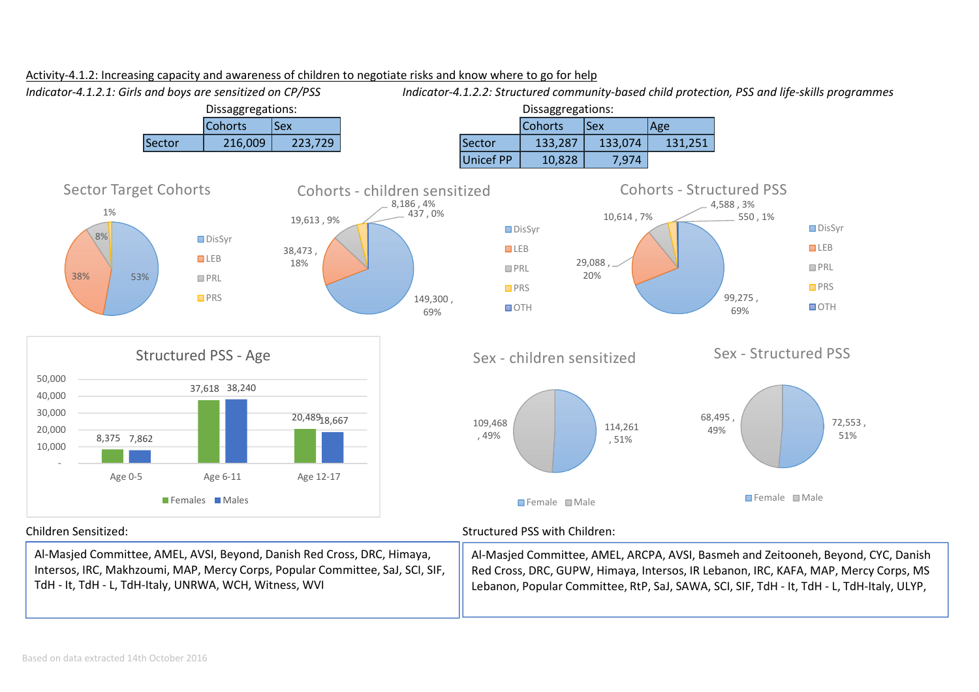

Red Cross, DRC, GUPW, Himaya, Intersos, IR Lebanon, IRC, KAFA, MAP, Mercy Corps, MS Lebanon, Popular Committee, RtP, SaJ, SAWA, SCI, SIF, TdH - It, TdH - L, TdH-Italy, ULYP,

#### Activity-4.1.2: Increasing capacity and awareness of children to negotiate risks and know where to go for help

Based on data extracted 14th October 2016

Intersos, IRC, Makhzoumi, MAP, Mercy Corps, Popular Committee, SaJ, SCI, SIF,

TdH - It, TdH - L, TdH-Italy, UNRWA, WCH, Witness, WVI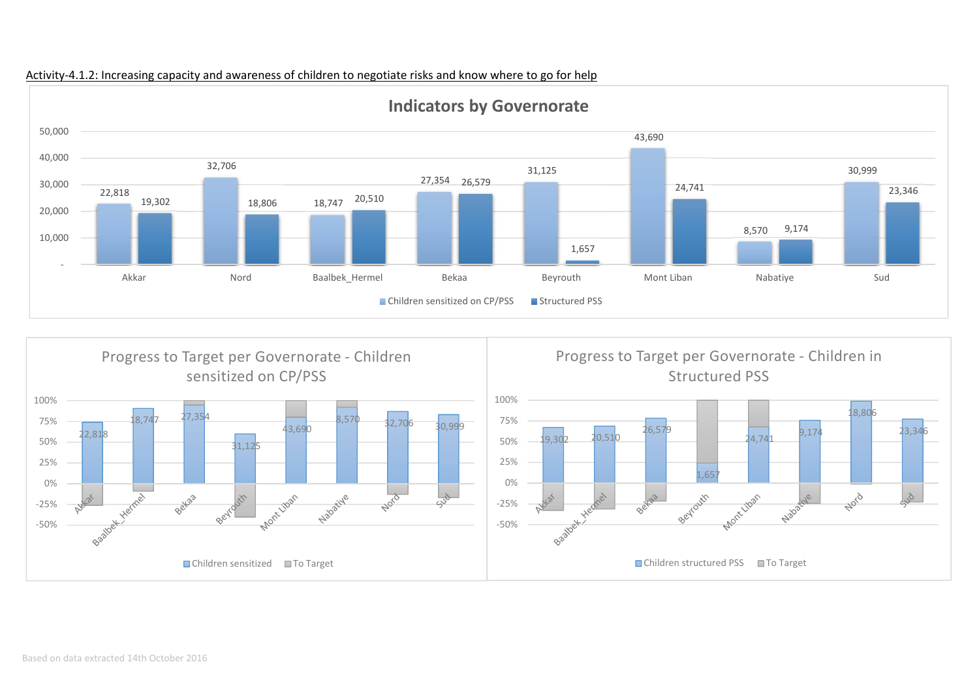

Activity-4.1.2: Increasing capacity and awareness of children to negotiate risks and know where to go for help

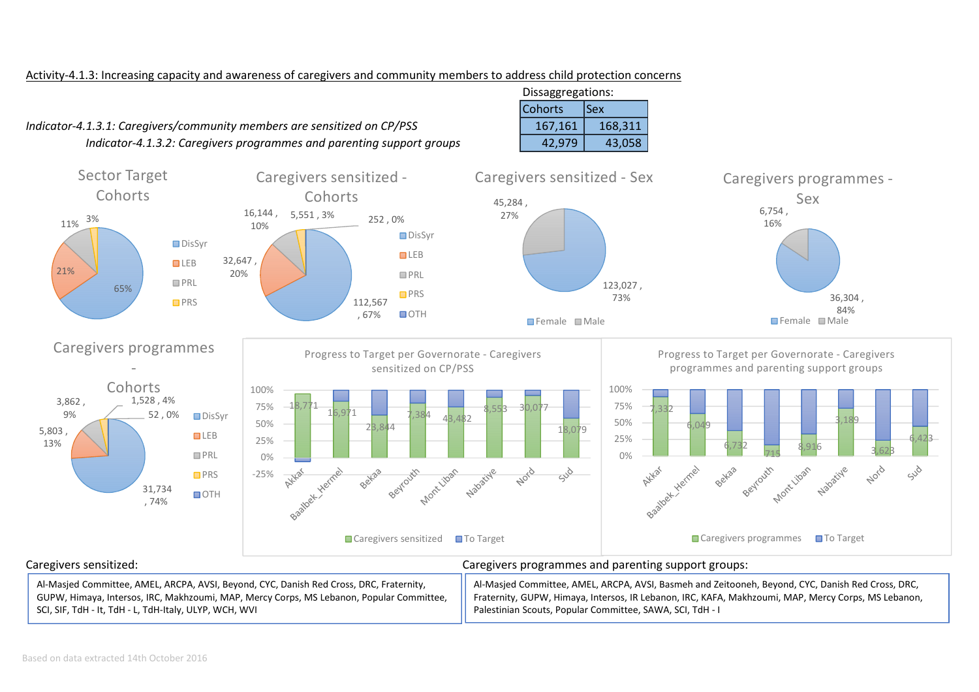### Activity-4.1.3: Increasing capacity and awareness of caregivers and community members to address child protection concerns

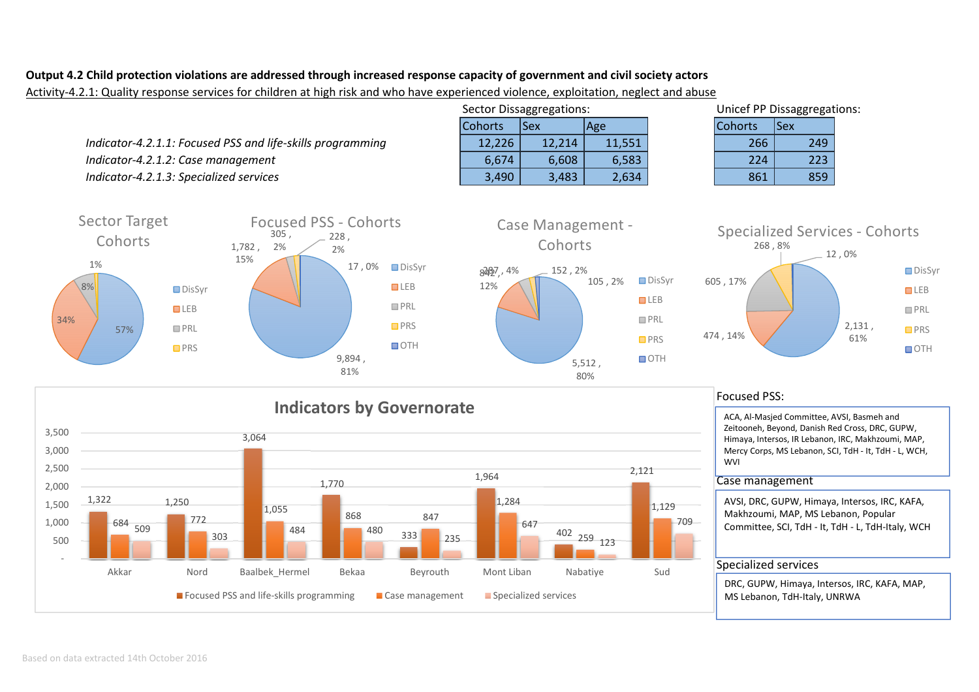## **Output 4.2 Child protection violations are addressed through increased response capacity of government and civil society actors**

Activity-4.2.1: Quality response services for children at high risk and who have experienced violence, exploitation, neglect and abuse



□ DisSyr **LEB PRL O**PRS **DOTH**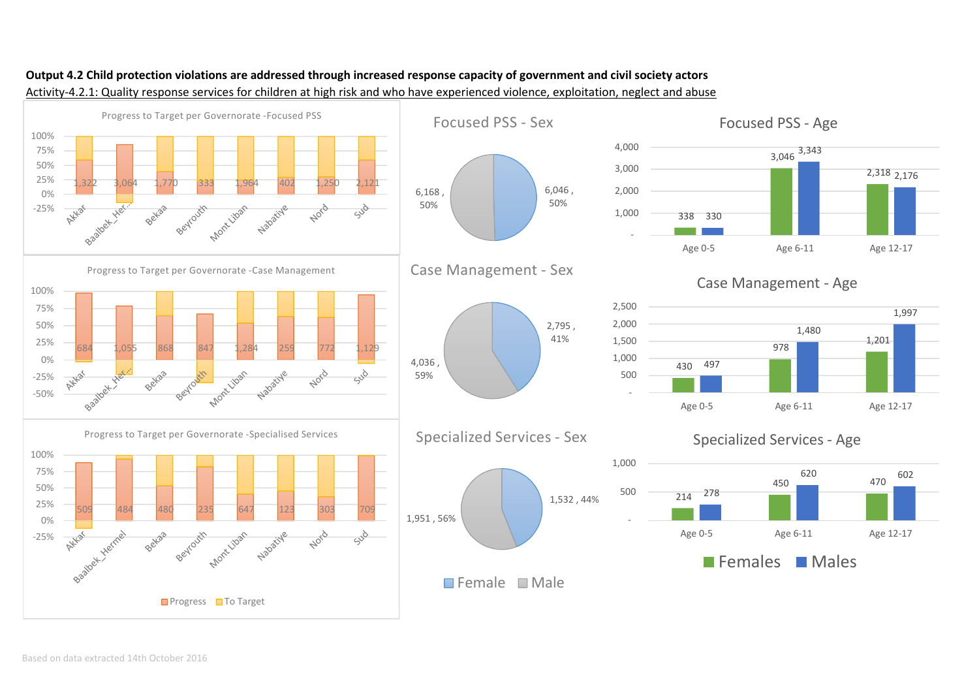

# **Output 4.2 Child protection violations are addressed through increased response capacity of government and civil society actors**Activity-4.2.1: Quality response services for children at high risk and who have experienced violence, exploitation, neglect and abuse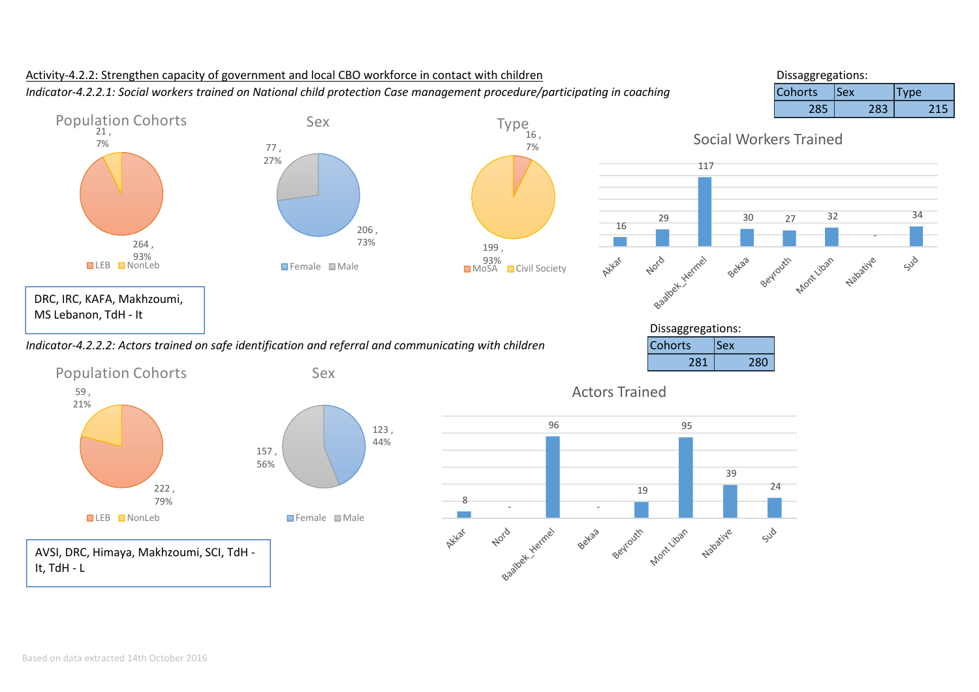

# Activity-4.2.2: Strengthen capacity of government and local CBO workforce in contact with children*Indicator-4.2.2.1: Social workers trained on National child protection Case management procedure/participating in coaching*

Dissaggregations:<br>Cohorts ISex  $\vert$ Cohorts  $\vert$ Sex  $\vert$ Type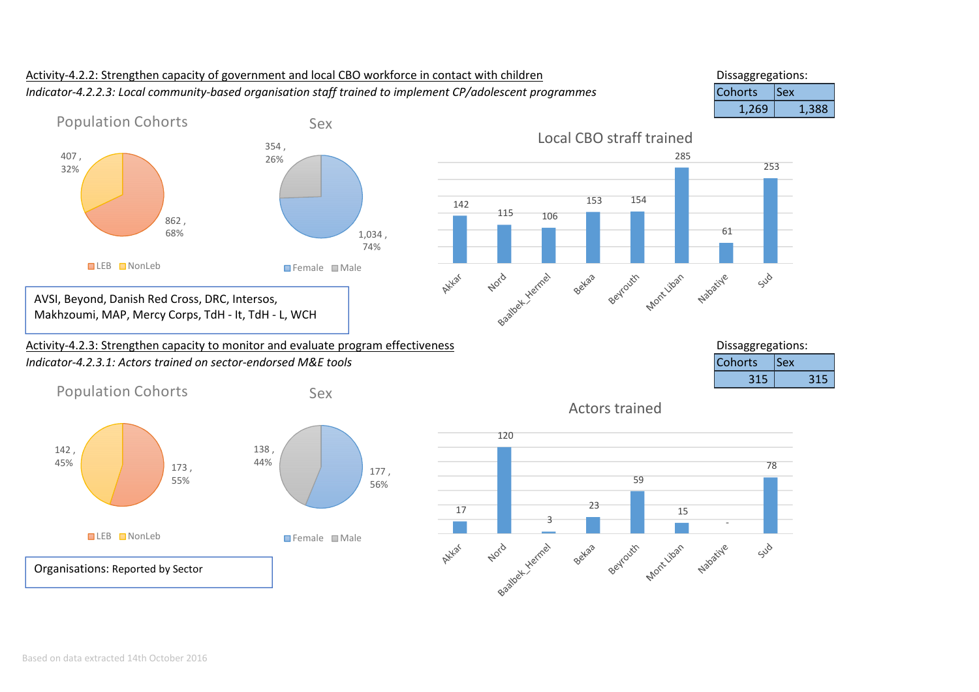